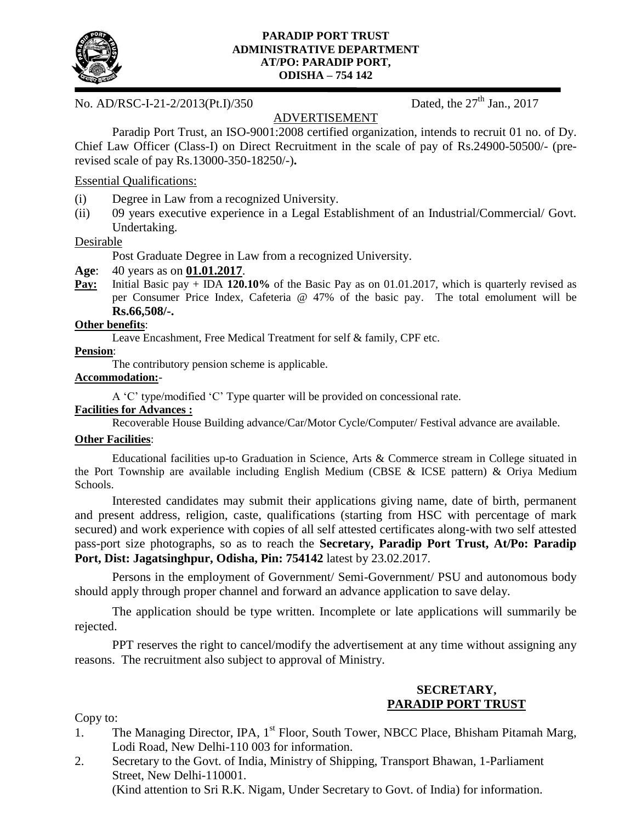

#### **PARADIP PORT TRUST ADMINISTRATIVE DEPARTMENT AT/PO: PARADIP PORT, ODISHA – 754 142**

No. AD/RSC-I-21-2/2013(Pt.I)/350 Dated, the 27<sup>th</sup> Jan., 2017

# ADVERTISEMENT

Paradip Port Trust, an ISO-9001:2008 certified organization, intends to recruit 01 no. of Dy. Chief Law Officer (Class-I) on Direct Recruitment in the scale of pay of Rs.24900-50500/- (prerevised scale of pay Rs.13000-350-18250/-)**.**

### Essential Qualifications:

- (i) Degree in Law from a recognized University.
- (ii) 09 years executive experience in a Legal Establishment of an Industrial/Commercial/ Govt. Undertaking.

#### Desirable

Post Graduate Degree in Law from a recognized University.

#### **Age**: 40 years as on **01.01.2017**.

**Pay:** Initial Basic pay + IDA 120.10% of the Basic Pay as on 01.01.2017, which is quarterly revised as per Consumer Price Index, Cafeteria @ 47% of the basic pay. The total emolument will be **Rs.66,508/-.**

#### **Other benefits**:

Leave Encashment, Free Medical Treatment for self & family, CPF etc.

#### **Pension**:

The contributory pension scheme is applicable.

#### **Accommodation:**-

A 'C' type/modified 'C' Type quarter will be provided on concessional rate.

# **Facilities for Advances :**

Recoverable House Building advance/Car/Motor Cycle/Computer/ Festival advance are available.

## **Other Facilities**:

Educational facilities up-to Graduation in Science, Arts & Commerce stream in College situated in the Port Township are available including English Medium (CBSE & ICSE pattern) & Oriya Medium Schools.

Interested candidates may submit their applications giving name, date of birth, permanent and present address, religion, caste, qualifications (starting from HSC with percentage of mark secured) and work experience with copies of all self attested certificates along-with two self attested pass-port size photographs, so as to reach the **Secretary, Paradip Port Trust, At/Po: Paradip Port, Dist: Jagatsinghpur, Odisha, Pin: 754142** latest by 23.02.2017.

Persons in the employment of Government/ Semi-Government/ PSU and autonomous body should apply through proper channel and forward an advance application to save delay.

The application should be type written. Incomplete or late applications will summarily be rejected.

PPT reserves the right to cancel/modify the advertisement at any time without assigning any reasons. The recruitment also subject to approval of Ministry.

## **SECRETARY, PARADIP PORT TRUST**

Copy to:

- 1. The Managing Director, IPA, 1<sup>st</sup> Floor, South Tower, NBCC Place, Bhisham Pitamah Marg, Lodi Road, New Delhi-110 003 for information.
- 2. Secretary to the Govt. of India, Ministry of Shipping, Transport Bhawan, 1-Parliament Street, New Delhi-110001.

(Kind attention to Sri R.K. Nigam, Under Secretary to Govt. of India) for information.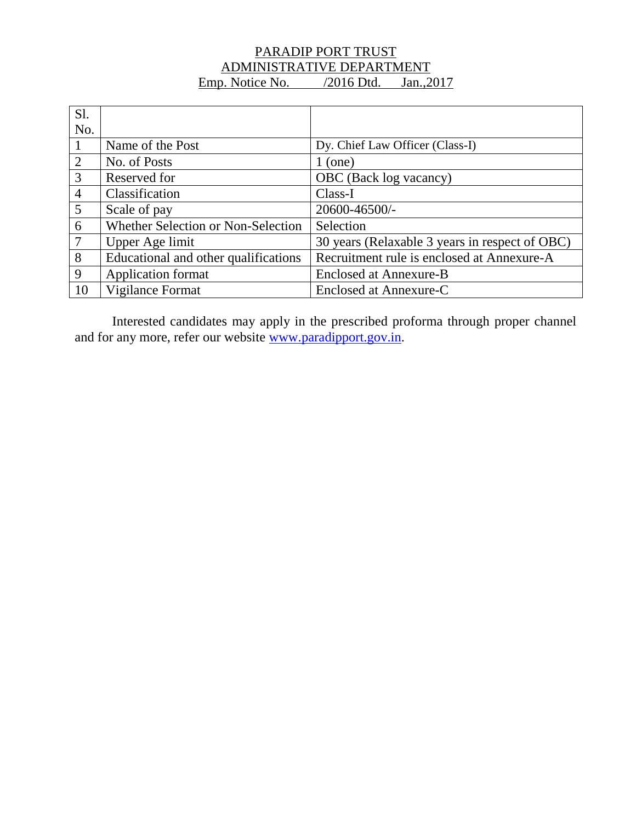# PARADIP PORT TRUST ADMINISTRATIVE DEPARTMENT Emp. Notice No. /2016 Dtd. Jan., 2017

| <b>S1.</b>     |                                      |                                                |
|----------------|--------------------------------------|------------------------------------------------|
| No.            |                                      |                                                |
|                | Name of the Post                     | Dy. Chief Law Officer (Class-I)                |
| 2              | No. of Posts                         | $1$ (one)                                      |
| $\mathfrak{Z}$ | Reserved for                         | OBC (Back log vacancy)                         |
| $\overline{4}$ | Classification                       | Class-I                                        |
| 5              | Scale of pay                         | 20600-46500/-                                  |
| 6              | Whether Selection or Non-Selection   | Selection                                      |
| 7              | Upper Age limit                      | 30 years (Relaxable 3 years in respect of OBC) |
| 8              | Educational and other qualifications | Recruitment rule is enclosed at Annexure-A     |
| 9              | <b>Application format</b>            | Enclosed at Annexure-B                         |
| 10             | Vigilance Format                     | Enclosed at Annexure-C                         |

Interested candidates may apply in the prescribed proforma through proper channel and for any more, refer our website [www.paradipport.gov.in.](http://www.paradipport.gov.in/)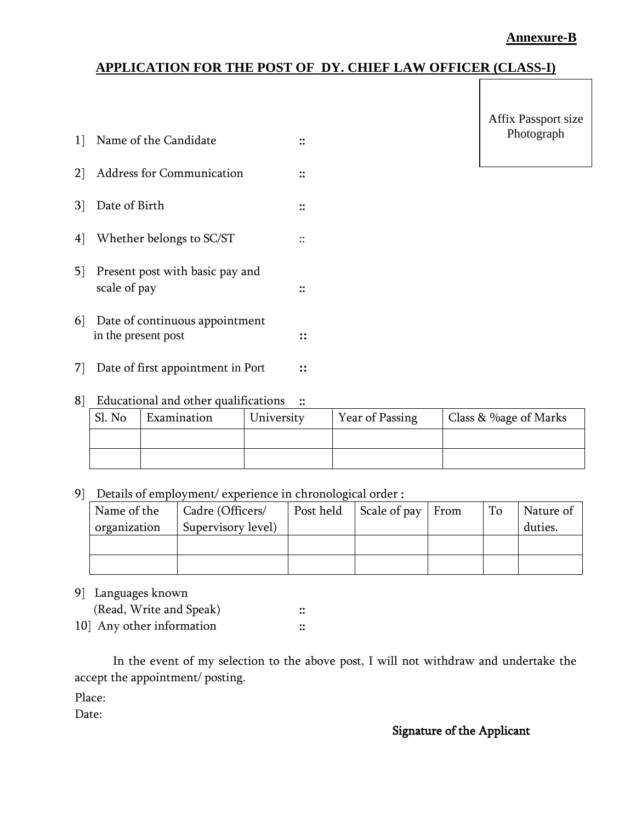# **Annexure-B**

# **APPLICATION FOR THE POST OF DY. CHIEF LAW OFFICER (CLASS-I)**

| $\mathbf{1}$   | Name of the Candidate                                 |  |
|----------------|-------------------------------------------------------|--|
| 2 <sup>1</sup> | <b>Address for Communication</b>                      |  |
| 31             | Date of Birth                                         |  |
| 4              | Whether belongs to SC/ST                              |  |
| 5 <sup>1</sup> | Present post with basic pay and<br>scale of pay       |  |
| 6 <sup>1</sup> | Date of continuous appointment<br>in the present post |  |

Affix Passport size Photograph

| 8 Educational and other qualifications : |  |  |  |  |  |  |  |  |  |
|------------------------------------------|--|--|--|--|--|--|--|--|--|

7] Date of first appointment in Port **::**

| Sl. No | Examination | University | Year of Passing | Class & %age of Marks |  |  |
|--------|-------------|------------|-----------------|-----------------------|--|--|
|        |             |            |                 |                       |  |  |
|        |             |            |                 |                       |  |  |

9] Details of employment/ experience in chronological order :

| Name of the  | Cadre (Officers/   | Post held | Scale of pay From | To | Nature of |
|--------------|--------------------|-----------|-------------------|----|-----------|
| organization | Supervisory level) |           |                   |    | duties.   |
|              |                    |           |                   |    |           |
|              |                    |           |                   |    |           |

9] Languages known

| (Read, Write and Speak)  | <br>$\bullet\bullet$ |
|--------------------------|----------------------|
| 10 Any other information |                      |

In the event of my selection to the above post, I will not withdraw and undertake the accept the appointment/ posting.

Place:

Date:

#### Signature of the Applicant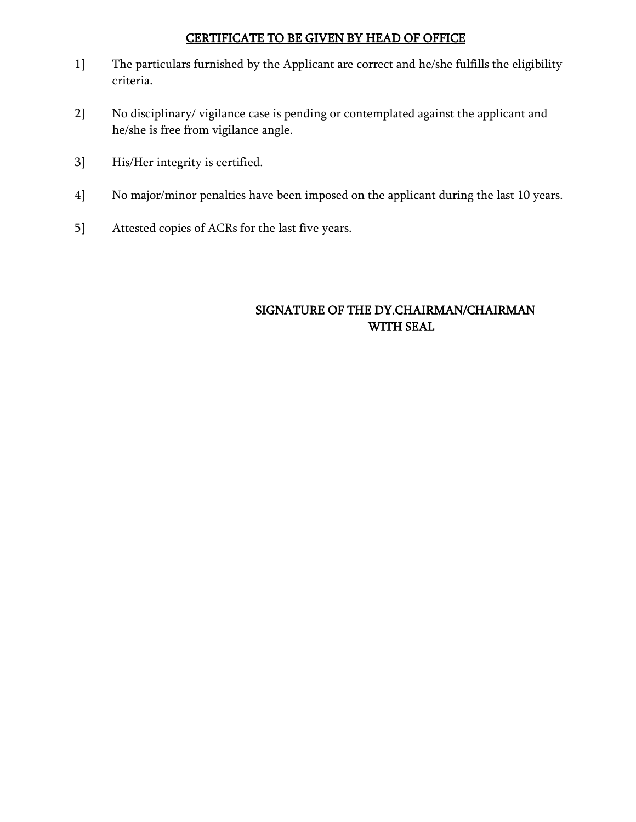# CERTIFICATE TO BE GIVEN BY HEAD OF OFFICE

- 1] The particulars furnished by the Applicant are correct and he/she fulfills the eligibility criteria.
- 2] No disciplinary/ vigilance case is pending or contemplated against the applicant and he/she is free from vigilance angle.
- 3] His/Her integrity is certified.
- 4] No major/minor penalties have been imposed on the applicant during the last 10 years.
- 5] Attested copies of ACRs for the last five years.

# SIGNATURE OF THE DY.CHAIRMAN/CHAIRMAN WITH SEAL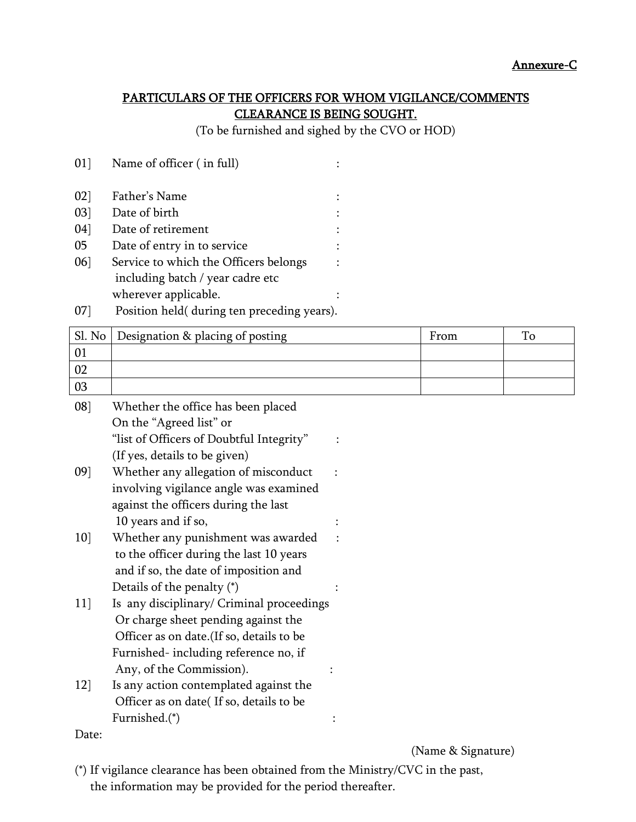# PARTICULARS OF THE OFFICERS FOR WHOM VIGILANCE/COMMENTS CLEARANCE IS BEING SOUGHT.

(To be furnished and sighed by the CVO or HOD)

| 02]    | Father's Name                         |  |
|--------|---------------------------------------|--|
| $03$ ] | Date of birth                         |  |
| 04     | Date of retirement                    |  |
| 05     | Date of entry in to service           |  |
| 06     | Service to which the Officers belongs |  |
|        | including batch / year cadre etc      |  |
|        | wherever applicable.                  |  |

01] Name of officer ( in full) :

07] Position held( during ten preceding years).

| Sl. No        | Designation & placing of posting          | From | To |  |
|---------------|-------------------------------------------|------|----|--|
| 01            |                                           |      |    |  |
| 02            |                                           |      |    |  |
| 03            |                                           |      |    |  |
| $08$ ]        | Whether the office has been placed        |      |    |  |
|               | On the "Agreed list" or                   |      |    |  |
|               | "list of Officers of Doubtful Integrity"  |      |    |  |
|               | (If yes, details to be given)             |      |    |  |
| 09            | Whether any allegation of misconduct      |      |    |  |
|               | involving vigilance angle was examined    |      |    |  |
|               | against the officers during the last      |      |    |  |
|               | 10 years and if so,                       |      |    |  |
| 10]           | Whether any punishment was awarded        |      |    |  |
|               | to the officer during the last 10 years   |      |    |  |
|               | and if so, the date of imposition and     |      |    |  |
|               | Details of the penalty $(*)$              |      |    |  |
| <sup>11</sup> | Is any disciplinary/ Criminal proceedings |      |    |  |
|               | Or charge sheet pending against the       |      |    |  |
|               | Officer as on date. (If so, details to be |      |    |  |
|               | Furnished-including reference no, if      |      |    |  |
|               | Any, of the Commission).                  |      |    |  |
| 12            | Is any action contemplated against the    |      |    |  |
|               | Officer as on date(If so, details to be   |      |    |  |
|               | Furnished.(*)                             |      |    |  |
| Date:         |                                           |      |    |  |

(Name & Signature)

(\*) If vigilance clearance has been obtained from the Ministry/CVC in the past, the information may be provided for the period thereafter.